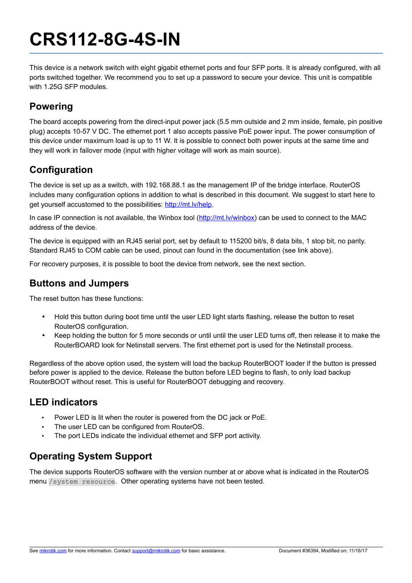# **CRS112-8G-4S-IN**

This device is a network switch with eight gigabit ethernet ports and four SFP ports. It is already configured, with all ports switched together. We recommend you to set up a password to secure your device. This unit is compatible with 1.25G SFP modules.

## **Powering**

The board accepts powering from the direct-input power jack (5.5 mm outside and 2 mm inside, female, pin positive plug) accepts 10-57 V DC. The ethernet port 1 also accepts passive PoE power input. The power consumption of this device under maximum load is up to 11 W. It is possible to connect both power inputs at the same time and they will work in failover mode (input with higher voltage will work as main source).

# **Configuration**

The device is set up as a switch, with 192.168.88.1 as the management IP of the bridge interface. RouterOS includes many configuration options in addition to what is described in this document. We suggest to start here to get yourself accustomed to the possibilities: [http://mt.lv/help.](http://mt.lv/help)

In case IP connection is not available, the Winbox tool [\(http://mt.lv/winbox\)](http://mt.lv/winbox) can be used to connect to the MAC address of the device.

The device is equipped with an RJ45 serial port, set by default to 115200 bit/s, 8 data bits, 1 stop bit, no parity. Standard RJ45 to COM cable can be used, pinout can found in the documentation (see link above).

For recovery purposes, it is possible to boot the device from network, see the next section.

#### **Buttons and Jumpers**

The reset button has these functions:

- Hold this button during boot time until the user LED light starts flashing, release the button to reset RouterOS configuration.
- Keep holding the button for 5 more seconds or until until the user LED turns off, then release it to make the RouterBOARD look for Netinstall servers. The first ethernet port is used for the Netinstall process.

Regardless of the above option used, the system will load the backup RouterBOOT loader if the button is pressed before power is applied to the device. Release the button before LED begins to flash, to only load backup RouterBOOT without reset. This is useful for RouterBOOT debugging and recovery.

#### **LED indicators**

- Power LED is lit when the router is powered from the DC jack or PoE.
- The user LED can be configured from RouterOS.
- The port LEDs indicate the individual ethernet and SFP port activity.

## **Operating System Support**

The device supports RouterOS software with the version number at or above what is indicated in the RouterOS menu /system resource. Other operating systems have not been tested.